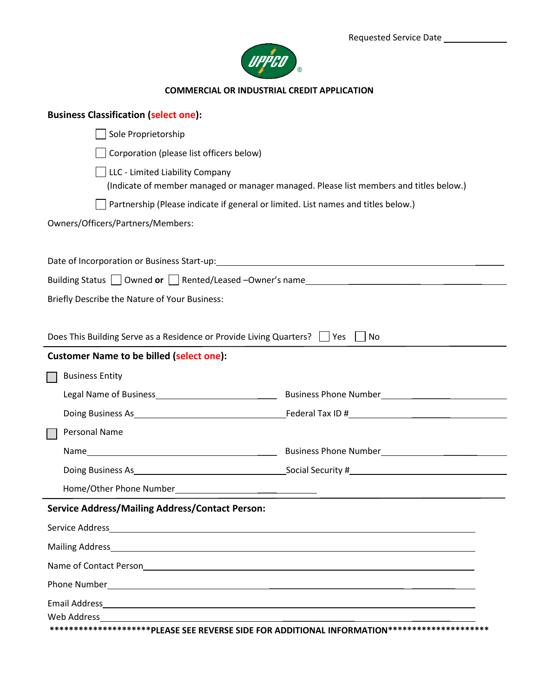

## **COMMERCIAL OR INDUSTRIAL CREDIT APPLICATION**

| <b>Business Classification (select one):</b>                              |                                                                                                                 |
|---------------------------------------------------------------------------|-----------------------------------------------------------------------------------------------------------------|
| Sole Proprietorship                                                       |                                                                                                                 |
| Corporation (please list officers below)                                  |                                                                                                                 |
| LLC - Limited Liability Company                                           | (Indicate of member managed or manager managed. Please list members and titles below.)                          |
|                                                                           | Partnership (Please indicate if general or limited. List names and titles below.)                               |
| Owners/Officers/Partners/Members:                                         |                                                                                                                 |
|                                                                           |                                                                                                                 |
|                                                                           |                                                                                                                 |
|                                                                           |                                                                                                                 |
| Briefly Describe the Nature of Your Business:                             |                                                                                                                 |
|                                                                           |                                                                                                                 |
| Does This Building Serve as a Residence or Provide Living Quarters?   Yes | No                                                                                                              |
| <b>Customer Name to be billed (select one):</b>                           |                                                                                                                 |
| <b>Business Entity</b>                                                    |                                                                                                                 |
|                                                                           |                                                                                                                 |
|                                                                           | Doing Business As 1990 Company of Technical Company of Technical Company of Technical Company of Technical Comp |
| Personal Name                                                             |                                                                                                                 |
|                                                                           |                                                                                                                 |
|                                                                           |                                                                                                                 |
|                                                                           |                                                                                                                 |
| <b>Service Address/Mailing Address/Contact Person:</b>                    |                                                                                                                 |
|                                                                           |                                                                                                                 |
|                                                                           |                                                                                                                 |
|                                                                           | Name of Contact Person<br><u>Land and and announcement</u> and announcement of Contact Person                   |
|                                                                           |                                                                                                                 |
|                                                                           |                                                                                                                 |
| Web Address                                                               |                                                                                                                 |